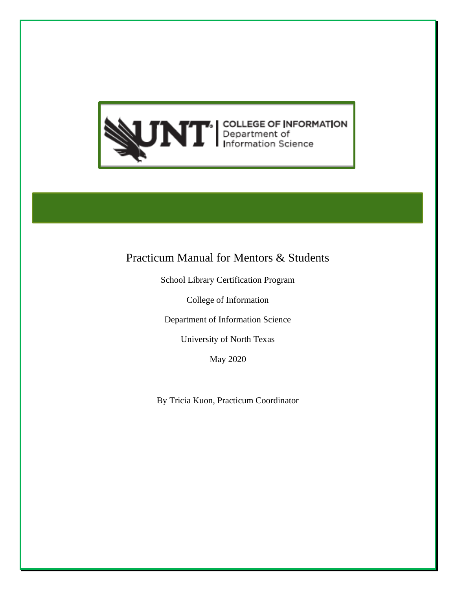

# Practicum Manual for Mentors & Students

School Library Certification Program

College of Information

Department of Information Science

University of North Texas

May 2020

By Tricia Kuon, Practicum Coordinator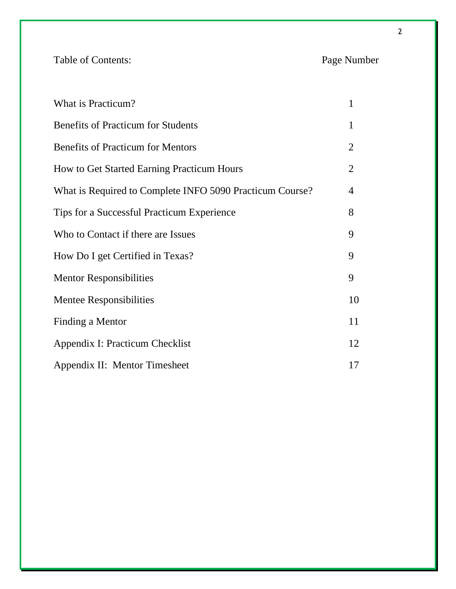Table of Contents: Page Number

| What is Practicum?                                       | $\mathbf{1}$   |
|----------------------------------------------------------|----------------|
| <b>Benefits of Practicum for Students</b>                | 1              |
| <b>Benefits of Practicum for Mentors</b>                 | $\overline{2}$ |
| How to Get Started Earning Practicum Hours               | $\overline{2}$ |
| What is Required to Complete INFO 5090 Practicum Course? | 4              |
| Tips for a Successful Practicum Experience               | 8              |
| Who to Contact if there are Issues                       | 9              |
| How Do I get Certified in Texas?                         | 9              |
| <b>Mentor Responsibilities</b>                           | 9              |
| <b>Mentee Responsibilities</b>                           | 10             |
| Finding a Mentor                                         | 11             |
| Appendix I: Practicum Checklist                          | 12             |
| Appendix II: Mentor Timesheet                            | 17             |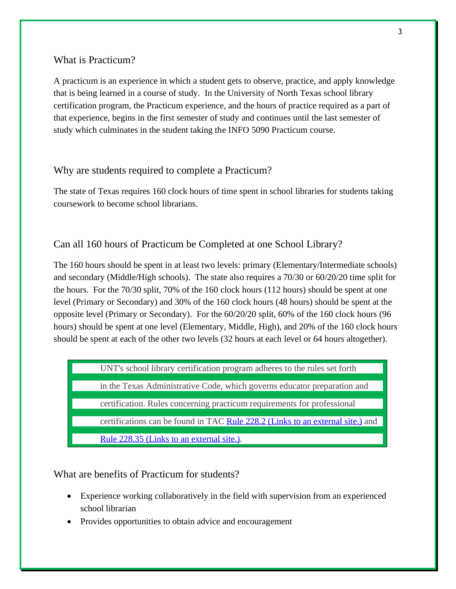## What is Practicum?

A practicum is an experience in which a student gets to observe, practice, and apply knowledge that is being learned in a course of study. In the University of North Texas school library certification program, the Practicum experience, and the hours of practice required as a part of that experience, begins in the first semester of study and continues until the last semester of study which culminates in the student taking the INFO 5090 Practicum course.

### Why are students required to complete a Practicum?

The state of Texas requires 160 clock hours of time spent in school libraries for students taking coursework to become school librarians.

#### Can all 160 hours of Practicum be Completed at one School Library?

The 160 hours should be spent in at least two levels: primary (Elementary/Intermediate schools) and secondary (Middle/High schools). The state also requires a 70/30 or 60/20/20 time split for the hours. For the 70/30 split, 70% of the 160 clock hours (112 hours) should be spent at one level (Primary or Secondary) and 30% of the 160 clock hours (48 hours) should be spent at the opposite level (Primary or Secondary). For the 60/20/20 split, 60% of the 160 clock hours (96 hours) should be spent at one level (Elementary, Middle, High), and 20% of the 160 clock hours should be spent at each of the other two levels (32 hours at each level or 64 hours altogether).

UNT's school library certification program adheres to the rules set forth

in the Texas Administrative Code, which governs educator preparation and

certification. Rules concerning practicum requirements for professional

certifications can be found in TAC [Rule 228.2](https://texreg.sos.state.tx.us/public/readtac%24ext.TacPage?sl=R&app=9&p_dir=&p_rloc=&p_tloc=&p_ploc=&pg=1&p_tac=&ti=19&pt=7&ch=228&rl=2) (Links to an external site.) and

[Rule 228.35](https://texreg.sos.state.tx.us/public/readtac%24ext.TacPage?sl=T&app=9&p_dir=N&p_rloc=181649&p_tloc=&p_ploc=1&pg=7&p_tac=&ti=19&pt=7&ch=228&rl=2) (Links to an external site.).

What are benefits of Practicum for students?

- Experience working collaboratively in the field with supervision from an experienced school librarian
- Provides opportunities to obtain advice and encouragement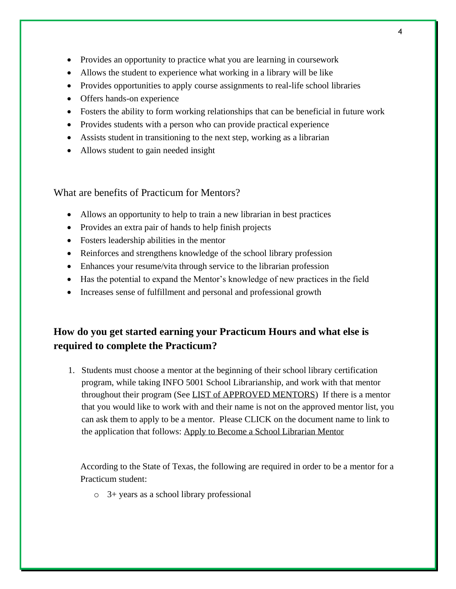- Provides an opportunity to practice what you are learning in coursework
- Allows the student to experience what working in a library will be like
- Provides opportunities to apply course assignments to real-life school libraries
- Offers hands-on experience
- Fosters the ability to form working relationships that can be beneficial in future work
- Provides students with a person who can provide practical experience
- Assists student in transitioning to the next step, working as a librarian
- Allows student to gain needed insight

What are benefits of Practicum for Mentors?

- Allows an opportunity to help to train a new librarian in best practices
- Provides an extra pair of hands to help finish projects
- Fosters leadership abilities in the mentor
- Reinforces and strengthens knowledge of the school library profession
- Enhances your resume/vita through service to the librarian profession
- Has the potential to expand the Mentor's knowledge of new practices in the field
- Increases sense of fulfillment and personal and professional growth

# **How do you get started earning your Practicum Hours and what else is required to complete the Practicum?**

1. Students must choose a mentor at the beginning of their school library certification program, while taking INFO 5001 School Librarianship, and work with that mentor throughout their program (See [LIST of APPROVED MENTORS\)](https://informationscience.unt.edu/approved-mentor-list) If there is a mentor that you would like to work with and their name is not on the approved mentor list, you can ask them to apply to be a mentor. Please CLICK on the document name to link to the application that follows: [Apply to Become a School Librarian Mentor](https://informationscience.unt.edu/apply-become-school-library-certification-mentor)

According to the State of Texas, the following are required in order to be a mentor for a Practicum student:

o 3+ years as a school library professional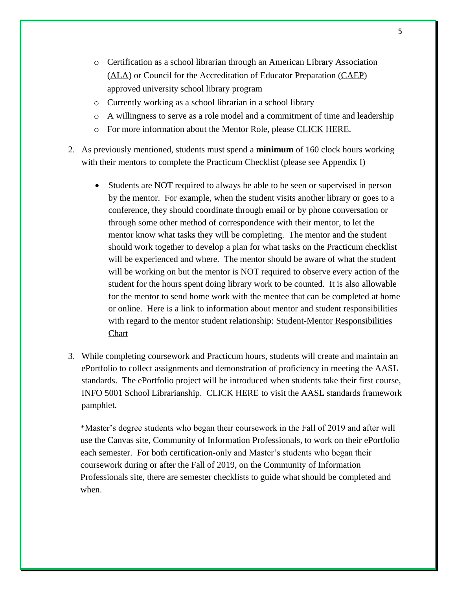- o Certification as a school librarian through an American Library Association [\(ALA\)](http://www.ala.org/) or Council for the Accreditation of Educator Preparation [\(CAEP\)](http://caepnet.org/about/vision-mission-goals) approved university school library program
- o Currently working as a school librarian in a school library
- o A willingness to serve as a role model and a commitment of time and leadership
- o For more information about the Mentor Role, please [CLICK HERE.](https://informationscience.unt.edu/mentor-role)
- 2. As previously mentioned, students must spend a **minimum** of 160 clock hours working with their mentors to complete the Practicum Checklist (please see Appendix I)
	- Students are NOT required to always be able to be seen or supervised in person by the mentor. For example, when the student visits another library or goes to a conference, they should coordinate through email or by phone conversation or through some other method of correspondence with their mentor, to let the mentor know what tasks they will be completing. The mentor and the student should work together to develop a plan for what tasks on the Practicum checklist will be experienced and where. The mentor should be aware of what the student will be working on but the mentor is NOT required to observe every action of the student for the hours spent doing library work to be counted. It is also allowable for the mentor to send home work with the mentee that can be completed at home or online. Here is a link to information about mentor and student responsibilities with regard to the mentor student relationship: [Student-Mentor Responsibilities](https://informationscience.unt.edu/student-mentor-responsibilities)  **[Chart](https://informationscience.unt.edu/student-mentor-responsibilities)**
- 3. While completing coursework and Practicum hours, students will create and maintain an ePortfolio to collect assignments and demonstration of proficiency in meeting the AASL standards. The ePortfolio project will be introduced when students take their first course, INFO 5001 School Librarianship. [CLICK HERE](https://standards.aasl.org/wp-content/uploads/2017/11/AASL-Standards-Framework-for-Learners-pamphlet.pdf) to visit the AASL standards framework pamphlet.

\*Master's degree students who began their coursework in the Fall of 2019 and after will use the Canvas site, Community of Information Professionals, to work on their ePortfolio each semester. For both certification-only and Master's students who began their coursework during or after the Fall of 2019, on the Community of Information Professionals site, there are semester checklists to guide what should be completed and when.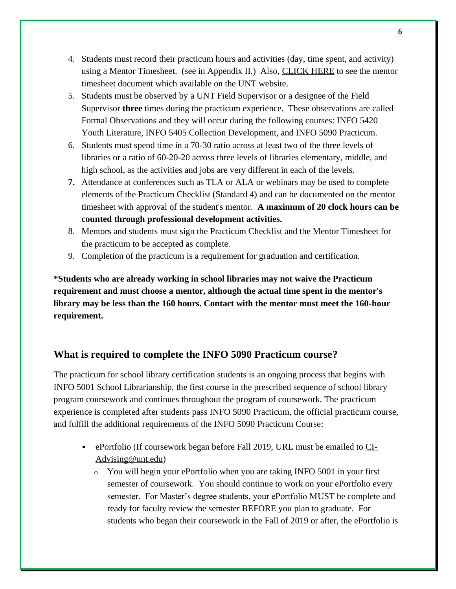- 4. Students must record their practicum hours and activities (day, time spent, and activity) using a Mentor Timesheet. (see in Appendix II.) Also, [CLICK HERE](https://informationscience.unt.edu/sites/default/files/unt_school_librarian_mentor_timesheet.pdf) to see the mentor timesheet document which available on the UNT website.
- 5. Students must be observed by a UNT Field Supervisor or a designee of the Field Supervisor **three** times during the practicum experience. These observations are called Formal Observations and they will occur during the following courses: INFO 5420 Youth Literature, INFO 5405 Collection Development, and INFO 5090 Practicum.
- 6. Students must spend time in a 70-30 ratio across at least two of the three levels of libraries or a ratio of 60-20-20 across three levels of libraries elementary, middle, and high school, as the activities and jobs are very different in each of the levels.
- **7.** Attendance at conferences such as TLA or ALA or webinars may be used to complete elements of the Practicum Checklist (Standard 4) and can be documented on the mentor timesheet with approval of the student's mentor. **A maximum of 20 clock hours can be counted through professional development activities.**
- 8. Mentors and students must sign the Practicum Checklist and the Mentor Timesheet for the practicum to be accepted as complete.
- 9. Completion of the practicum is a requirement for graduation and certification.

**\*Students who are already working in school libraries may not waive the Practicum requirement and must choose a mentor, although the actual time spent in the mentor's library may be less than the 160 hours. Contact with the mentor must meet the 160-hour requirement.** 

# **What is required to complete the INFO 5090 Practicum course?**

The practicum for school library certification students is an ongoing process that begins with INFO 5001 School Librarianship, the first course in the prescribed sequence of school library program coursework and continues throughout the program of coursework. The practicum experience is completed after students pass INFO 5090 Practicum, the official practicum course, and fulfill the additional requirements of the INFO 5090 Practicum Course:

- ePortfolio (If coursework began before Fall 2019, URL must be emailed to [CI-](mailto:CI-Advising@unt.edu)[Advising@unt.edu\)](mailto:CI-Advising@unt.edu)
	- o You will begin your ePortfolio when you are taking INFO 5001 in your first semester of coursework. You should continue to work on your ePortfolio every semester. For Master's degree students, your ePortfolio MUST be complete and ready for faculty review the semester BEFORE you plan to graduate. For students who began their coursework in the Fall of 2019 or after, the ePortfolio is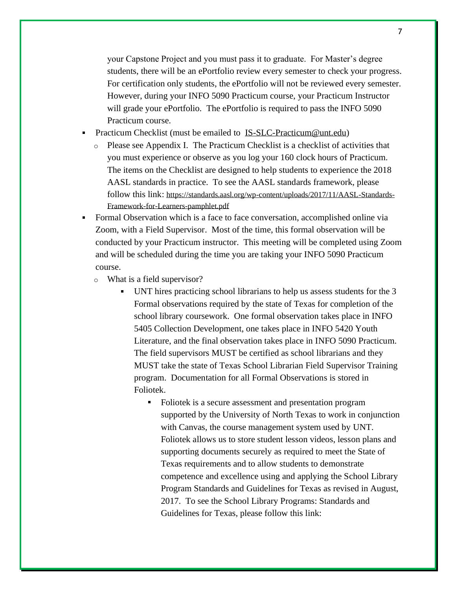your Capstone Project and you must pass it to graduate. For Master's degree students, there will be an ePortfolio review every semester to check your progress. For certification only students, the ePortfolio will not be reviewed every semester. However, during your INFO 5090 Practicum course, your Practicum Instructor will grade your ePortfolio. The ePortfolio is required to pass the INFO 5090 Practicum course.

- Practicum Checklist (must be emailed to [IS-SLC-Practicum@unt.edu\)](mailto:IS-SLC-Practicum@unt.edu)
	- o Please see Appendix I. The Practicum Checklist is a checklist of activities that you must experience or observe as you log your 160 clock hours of Practicum. The items on the Checklist are designed to help students to experience the 2018 AASL standards in practice. To see the AASL standards framework, please follow this link: [https://standards.aasl.org/wp-content/uploads/2017/11/AASL-Standards-](https://standards.aasl.org/wp-content/uploads/2017/11/AASL-Standards-Framework-for-Learners-pamphlet.pdf)[Framework-for-Learners-pamphlet.pdf](https://standards.aasl.org/wp-content/uploads/2017/11/AASL-Standards-Framework-for-Learners-pamphlet.pdf)
- Formal Observation which is a face to face conversation, accomplished online via Zoom, with a Field Supervisor. Most of the time, this formal observation will be conducted by your Practicum instructor. This meeting will be completed using Zoom and will be scheduled during the time you are taking your INFO 5090 Practicum course.
	- o What is a field supervisor?
		- UNT hires practicing school librarians to help us assess students for the 3 Formal observations required by the state of Texas for completion of the school library coursework. One formal observation takes place in INFO 5405 Collection Development, one takes place in INFO 5420 Youth Literature, and the final observation takes place in INFO 5090 Practicum. The field supervisors MUST be certified as school librarians and they MUST take the state of Texas School Librarian Field Supervisor Training program. Documentation for all Formal Observations is stored in Foliotek.
			- Foliotek is a secure assessment and presentation program supported by the University of North Texas to work in conjunction with Canvas, the course management system used by UNT. Foliotek allows us to store student lesson videos, lesson plans and supporting documents securely as required to meet the State of Texas requirements and to allow students to demonstrate competence and excellence using and applying the School Library Program Standards and Guidelines for Texas as revised in August, 2017. To see the School Library Programs: Standards and Guidelines for Texas, please follow this link: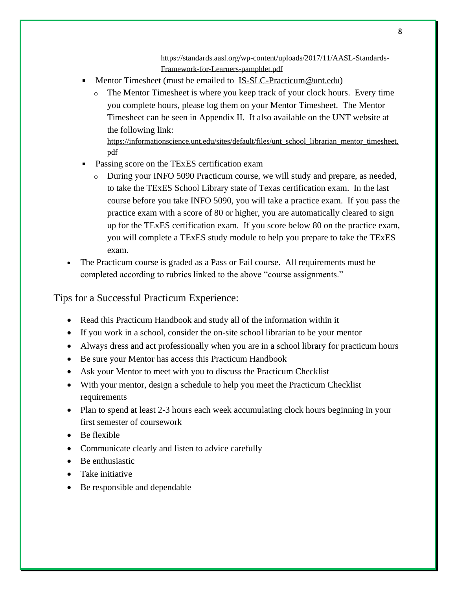[https://standards.aasl.org/wp-content/uploads/2017/11/AASL-Standards-](https://standards.aasl.org/wp-content/uploads/2017/11/AASL-Standards-Framework-for-Learners-pamphlet.pdf)[Framework-for-Learners-pamphlet.pdf](https://standards.aasl.org/wp-content/uploads/2017/11/AASL-Standards-Framework-for-Learners-pamphlet.pdf)

- Mentor Timesheet (must be emailed to [IS-SLC-Practicum@unt.edu\)](mailto:IS-SLC-Practicum@unt.edu)
	- o The Mentor Timesheet is where you keep track of your clock hours. Every time you complete hours, please log them on your Mentor Timesheet. The Mentor Timesheet can be seen in Appendix II. It also available on the UNT website at the following link:

[https://informationscience.unt.edu/sites/default/files/unt\\_school\\_librarian\\_mentor\\_timesheet.](https://informationscience.unt.edu/sites/default/files/unt_school_librarian_mentor_timesheet.pdf) [pdf](https://informationscience.unt.edu/sites/default/files/unt_school_librarian_mentor_timesheet.pdf)

- Passing score on the TExES certification exam
	- o During your INFO 5090 Practicum course, we will study and prepare, as needed, to take the TExES School Library state of Texas certification exam. In the last course before you take INFO 5090, you will take a practice exam. If you pass the practice exam with a score of 80 or higher, you are automatically cleared to sign up for the TExES certification exam. If you score below 80 on the practice exam, you will complete a TExES study module to help you prepare to take the TExES exam.
- The Practicum course is graded as a Pass or Fail course. All requirements must be completed according to rubrics linked to the above "course assignments."

Tips for a Successful Practicum Experience:

- Read this Practicum Handbook and study all of the information within it
- If you work in a school, consider the on-site school librarian to be your mentor
- Always dress and act professionally when you are in a school library for practicum hours
- Be sure your Mentor has access this Practicum Handbook
- Ask your Mentor to meet with you to discuss the Practicum Checklist
- With your mentor, design a schedule to help you meet the Practicum Checklist requirements
- Plan to spend at least 2-3 hours each week accumulating clock hours beginning in your first semester of coursework
- Be flexible
- Communicate clearly and listen to advice carefully
- Be enthusiastic
- Take initiative
- Be responsible and dependable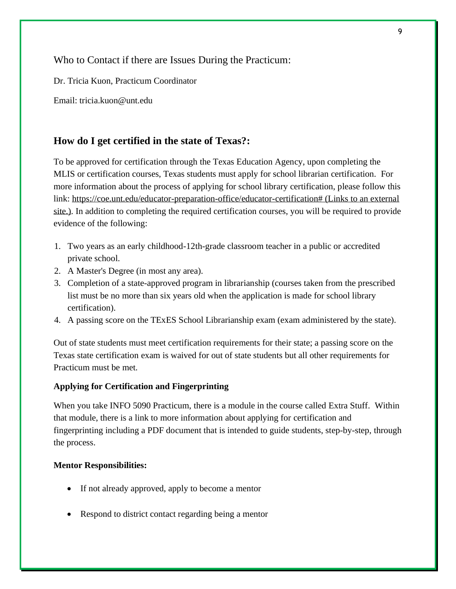Who to Contact if there are Issues During the Practicum:

Dr. Tricia Kuon, Practicum Coordinator

Email: tricia.kuon@unt.edu

#### **How do I get certified in the state of Texas?:**

To be approved for certification through the Texas Education Agency, upon completing the MLIS or certification courses, Texas students must apply for school librarian certification. For more information about the process of applying for school library certification, please follow this link: [https://coe.unt.edu/educator-preparation-office/educator-certification#](https://coe.unt.edu/educator-preparation-office/educator-certification) (Links to an external [site.\).](https://coe.unt.edu/educator-preparation-office/educator-certification) In addition to completing the required certification courses, you will be required to provide evidence of the following:

- 1. Two years as an early childhood-12th-grade classroom teacher in a public or accredited private school.
- 2. A Master's Degree (in most any area).
- 3. Completion of a state-approved program in librarianship (courses taken from the prescribed list must be no more than six years old when the application is made for school library certification).
- 4. A passing score on the TExES School Librarianship exam (exam administered by the state).

Out of state students must meet certification requirements for their state; a passing score on the Texas state certification exam is waived for out of state students but all other requirements for Practicum must be met.

#### **Applying for Certification and Fingerprinting**

When you take INFO 5090 Practicum, there is a module in the course called Extra Stuff. Within that module, there is a link to more information about applying for certification and fingerprinting including a PDF document that is intended to guide students, step-by-step, through the process.

#### **Mentor Responsibilities:**

- If not already approved, apply to become a mentor
- Respond to district contact regarding being a mentor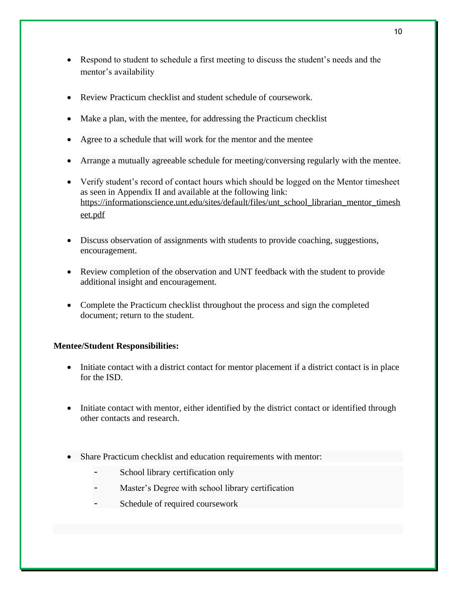- Respond to student to schedule a first meeting to discuss the student's needs and the mentor's availability
- Review Practicum checklist and student schedule of coursework.
- Make a plan, with the mentee, for addressing the Practicum checklist
- Agree to a schedule that will work for the mentor and the mentee
- Arrange a mutually agreeable schedule for meeting/conversing regularly with the mentee.
- Verify student's record of contact hours which should be logged on the Mentor timesheet as seen in Appendix II and available at the following link: [https://informationscience.unt.edu/sites/default/files/unt\\_school\\_librarian\\_mentor\\_timesh](https://informationscience.unt.edu/sites/default/files/unt_school_librarian_mentor_timesheet.pdf) [eet.pdf](https://informationscience.unt.edu/sites/default/files/unt_school_librarian_mentor_timesheet.pdf)
- Discuss observation of assignments with students to provide coaching, suggestions, encouragement.
- Review completion of the observation and UNT feedback with the student to provide additional insight and encouragement.
- Complete the Practicum checklist throughout the process and sign the completed document; return to the student.

#### **Mentee/Student Responsibilities:**

- Initiate contact with a district contact for mentor placement if a district contact is in place for the ISD.
- Initiate contact with mentor, either identified by the district contact or identified through other contacts and research.
- Share Practicum checklist and education requirements with mentor:
	- School library certification only
	- Master's Degree with school library certification
	- Schedule of required coursework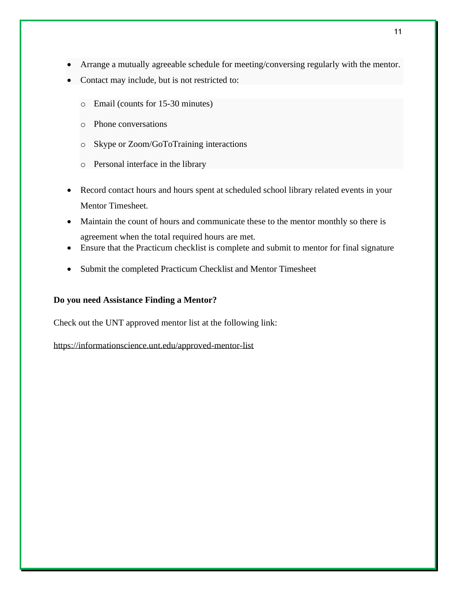- Arrange a mutually agreeable schedule for meeting/conversing regularly with the mentor.
- Contact may include, but is not restricted to:
	- o Email (counts for 15-30 minutes)
	- o Phone conversations
	- o Skype or Zoom/GoToTraining interactions
	- o Personal interface in the library
- Record contact hours and hours spent at scheduled school library related events in your Mentor Timesheet.
- Maintain the count of hours and communicate these to the mentor monthly so there is agreement when the total required hours are met.
- Ensure that the Practicum checklist is complete and submit to mentor for final signature
- Submit the completed Practicum Checklist and Mentor Timesheet

#### **Do you need Assistance Finding a Mentor?**

Check out the UNT approved mentor list at the following link:

<https://informationscience.unt.edu/approved-mentor-list>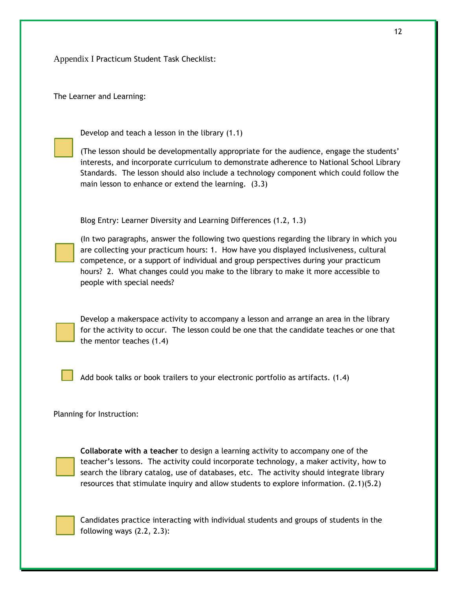Appendix I Practicum Student Task Checklist:

The Learner and Learning:

Develop and teach a lesson in the library (1.1)

(The lesson should be developmentally appropriate for the audience, engage the students' interests, and incorporate curriculum to demonstrate adherence to National School Library Standards. The lesson should also include a technology component which could follow the main lesson to enhance or extend the learning. (3.3)

Blog Entry: Learner Diversity and Learning Differences (1.2, 1.3)

(In two paragraphs, answer the following two questions regarding the library in which you are collecting your practicum hours: 1. How have you displayed inclusiveness, cultural competence, or a support of individual and group perspectives during your practicum hours? 2. What changes could you make to the library to make it more accessible to people with special needs?

Develop a makerspace activity to accompany a lesson and arrange an area in the library for the activity to occur. The lesson could be one that the candidate teaches or one that the mentor teaches (1.4)

Add book talks or book trailers to your electronic portfolio as artifacts. (1.4)

Planning for Instruction:



**Collaborate with a teacher** to design a learning activity to accompany one of the teacher's lessons. The activity could incorporate technology, a maker activity, how to search the library catalog, use of databases, etc. The activity should integrate library resources that stimulate inquiry and allow students to explore information. (2.1)(5.2)

Candidates practice interacting with individual students and groups of students in the following ways (2.2, 2.3):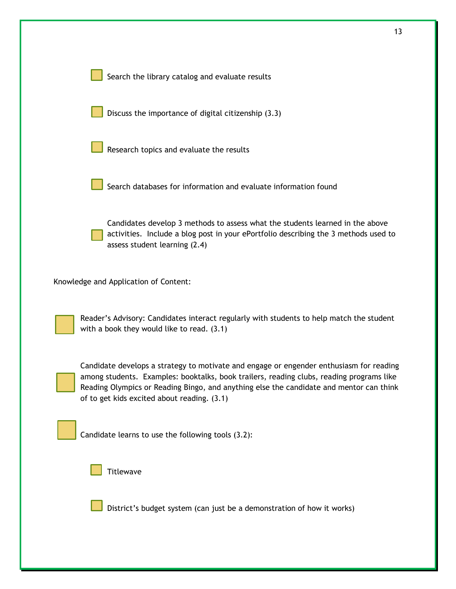| 13                                                                                                                                                                                                                                                                                                                            |
|-------------------------------------------------------------------------------------------------------------------------------------------------------------------------------------------------------------------------------------------------------------------------------------------------------------------------------|
| Search the library catalog and evaluate results                                                                                                                                                                                                                                                                               |
| Discuss the importance of digital citizenship (3.3)                                                                                                                                                                                                                                                                           |
| Research topics and evaluate the results                                                                                                                                                                                                                                                                                      |
| Search databases for information and evaluate information found                                                                                                                                                                                                                                                               |
| Candidates develop 3 methods to assess what the students learned in the above<br>activities. Include a blog post in your ePortfolio describing the 3 methods used to<br>assess student learning (2.4)                                                                                                                         |
| Knowledge and Application of Content:                                                                                                                                                                                                                                                                                         |
| Reader's Advisory: Candidates interact regularly with students to help match the student<br>with a book they would like to read. $(3.1)$                                                                                                                                                                                      |
| Candidate develops a strategy to motivate and engage or engender enthusiasm for reading<br>among students. Examples: booktalks, book trailers, reading clubs, reading programs like<br>Reading Olympics or Reading Bingo, and anything else the candidate and mentor can think<br>of to get kids excited about reading. (3.1) |
| Candidate learns to use the following tools (3.2):                                                                                                                                                                                                                                                                            |
| <b>Titlewave</b>                                                                                                                                                                                                                                                                                                              |
| District's budget system (can just be a demonstration of how it works)                                                                                                                                                                                                                                                        |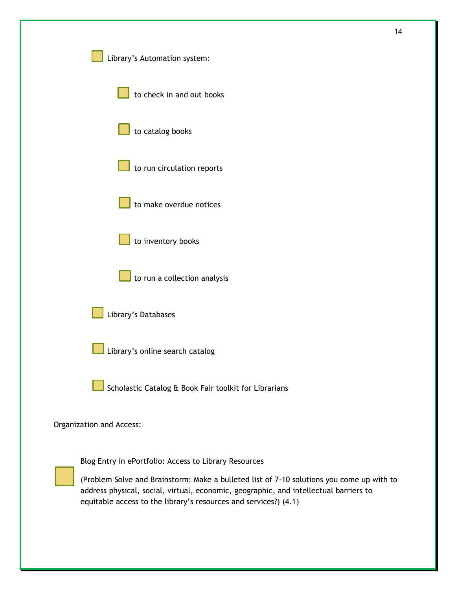|                                                                                                                                                                                                                                                        | 14 |
|--------------------------------------------------------------------------------------------------------------------------------------------------------------------------------------------------------------------------------------------------------|----|
| Library's Automation system:                                                                                                                                                                                                                           |    |
| to check in and out books                                                                                                                                                                                                                              |    |
| to catalog books                                                                                                                                                                                                                                       |    |
| to run circulation reports                                                                                                                                                                                                                             |    |
| to make overdue notices                                                                                                                                                                                                                                |    |
| to inventory books                                                                                                                                                                                                                                     |    |
| $\Box$ to run a collection analysis                                                                                                                                                                                                                    |    |
| Library's Databases                                                                                                                                                                                                                                    |    |
| Library's online search catalog                                                                                                                                                                                                                        |    |
| Scholastic Catalog & Book Fair toolkit for Librarians                                                                                                                                                                                                  |    |
| Organization and Access:                                                                                                                                                                                                                               |    |
| Blog Entry in ePortfolio: Access to Library Resources                                                                                                                                                                                                  |    |
| (Problem Solve and Brainstorm: Make a bulleted list of 7-10 solutions you come up with to<br>address physical, social, virtual, economic, geographic, and intellectual barriers to<br>equitable access to the library's resources and services?) (4.1) |    |
|                                                                                                                                                                                                                                                        |    |
|                                                                                                                                                                                                                                                        |    |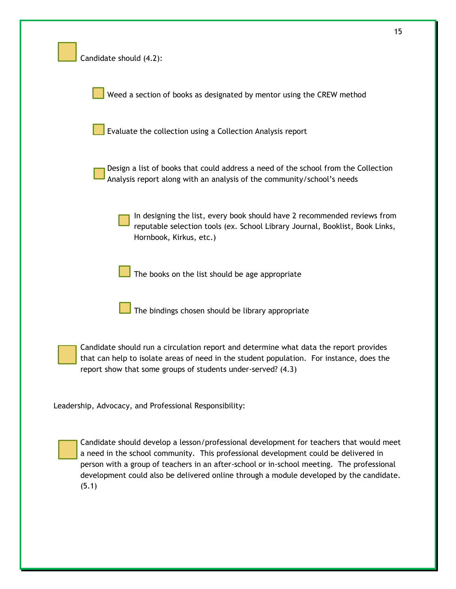| Candidate should (4.2):                                                                                                                                                                                                                                                                                                                                                         |
|---------------------------------------------------------------------------------------------------------------------------------------------------------------------------------------------------------------------------------------------------------------------------------------------------------------------------------------------------------------------------------|
| Weed a section of books as designated by mentor using the CREW method                                                                                                                                                                                                                                                                                                           |
| Evaluate the collection using a Collection Analysis report                                                                                                                                                                                                                                                                                                                      |
| Design a list of books that could address a need of the school from the Collection<br>Analysis report along with an analysis of the community/school's needs                                                                                                                                                                                                                    |
| In designing the list, every book should have 2 recommended reviews from<br>reputable selection tools (ex. School Library Journal, Booklist, Book Links,<br>Hornbook, Kirkus, etc.)                                                                                                                                                                                             |
| The books on the list should be age appropriate                                                                                                                                                                                                                                                                                                                                 |
| The bindings chosen should be library appropriate                                                                                                                                                                                                                                                                                                                               |
| Candidate should run a circulation report and determine what data the report provides<br>that can help to isolate areas of need in the student population. For instance, does the<br>report show that some groups of students under-served? (4.3)                                                                                                                               |
| Leadership, Advocacy, and Professional Responsibility:                                                                                                                                                                                                                                                                                                                          |
| Candidate should develop a lesson/professional development for teachers that would meet<br>a need in the school community. This professional development could be delivered in<br>person with a group of teachers in an after-school or in-school meeting. The professional<br>development could also be delivered online through a module developed by the candidate.<br>(5.1) |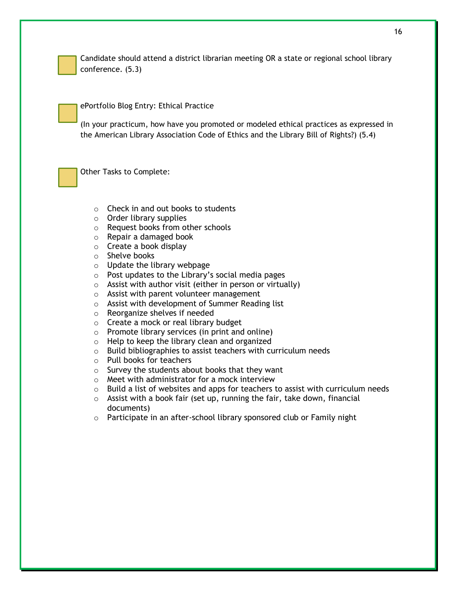

Candidate should attend a district librarian meeting OR a state or regional school library conference. (5.3)

ePortfolio Blog Entry: Ethical Practice

(In your practicum, how have you promoted or modeled ethical practices as expressed in the American Library Association Code of Ethics and the Library Bill of Rights?) (5.4)

Other Tasks to Complete:

- o Check in and out books to students
- $\circ$  Order library supplies
- o Request books from other schools
- o Repair a damaged book
- $\circ$  Create a book display
- o Shelve books
- o Update the library webpage
- $\circ$  Post updates to the Library's social media pages
- $\circ$  Assist with author visit (either in person or virtually)
- o Assist with parent volunteer management
- o Assist with development of Summer Reading list
- o Reorganize shelves if needed
- o Create a mock or real library budget
- o Promote library services (in print and online)
- o Help to keep the library clean and organized
- $\circ$  Build bibliographies to assist teachers with curriculum needs
- o Pull books for teachers
- $\circ$  Survey the students about books that they want
- o Meet with administrator for a mock interview
- $\circ$  Build a list of websites and apps for teachers to assist with curriculum needs
- $\circ$  Assist with a book fair (set up, running the fair, take down, financial documents)
- o Participate in an after-school library sponsored club or Family night